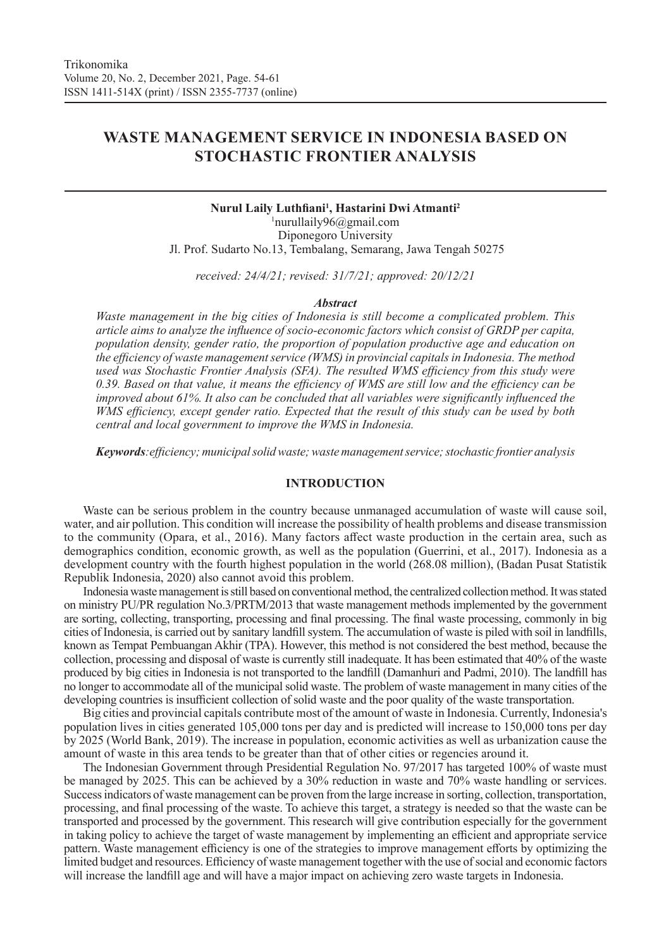# **WASTE MANAGEMENT SERVICE IN INDONESIA BASED ON STOCHASTIC FRONTIER ANALYSIS**

# **Nurul Laily Luthfiani<sup>1</sup> , Hastarini Dwi Atmanti<sup>2</sup>** 1 nurullaily96@gmail.com Diponegoro University Jl. Prof. Sudarto No.13, Tembalang, Semarang, Jawa Tengah 50275

*received: 24/4/21; revised: 31/7/21; approved: 20/12/21*

#### *Abstract*

*Waste management in the big cities of Indonesia is still become a complicated problem. This article aims to analyze the influence of socio-economic factors which consist of GRDP per capita, population density, gender ratio, the proportion of population productive age and education on the efficiency of waste management service (WMS) in provincial capitals in Indonesia. The method used was Stochastic Frontier Analysis (SFA). The resulted WMS efficiency from this study were 0.39. Based on that value, it means the efficiency of WMS are still low and the efficiency can be improved about 61%. It also can be concluded that all variables were significantly influenced the WMS efficiency, except gender ratio. Expected that the result of this study can be used by both central and local government to improve the WMS in Indonesia.*

*Keywords:efficiency; municipal solid waste; waste management service; stochastic frontier analysis*

# **INTRODUCTION**

Waste can be serious problem in the country because unmanaged accumulation of waste will cause soil, water, and air pollution. This condition will increase the possibility of health problems and disease transmission to the community (Opara, et al., 2016). Many factors affect waste production in the certain area, such as demographics condition, economic growth, as well as the population (Guerrini, et al., 2017). Indonesia as a development country with the fourth highest population in the world (268.08 million), (Badan Pusat Statistik Republik Indonesia, 2020) also cannot avoid this problem.

Indonesia waste management is still based on conventional method, the centralized collection method. It was stated on ministry PU/PR regulation No.3/PRTM/2013 that waste management methods implemented by the government are sorting, collecting, transporting, processing and final processing. The final waste processing, commonly in big cities of Indonesia, is carried out by sanitary landfill system. The accumulation of waste is piled with soil in landfills, known as Tempat Pembuangan Akhir (TPA). However, this method is not considered the best method, because the collection, processing and disposal of waste is currently still inadequate. It has been estimated that 40% of the waste produced by big cities in Indonesia is not transported to the landfill (Damanhuri and Padmi, 2010). The landfill has no longer to accommodate all of the municipal solid waste. The problem of waste management in many cities of the developing countries is insufficient collection of solid waste and the poor quality of the waste transportation.

Big cities and provincial capitals contribute most of the amount of waste in Indonesia. Currently, Indonesia's population lives in cities generated 105,000 tons per day and is predicted will increase to 150,000 tons per day by 2025 (World Bank, 2019). The increase in population, economic activities as well as urbanization cause the amount of waste in this area tends to be greater than that of other cities or regencies around it.

The Indonesian Government through Presidential Regulation No. 97/2017 has targeted 100% of waste must be managed by 2025. This can be achieved by a 30% reduction in waste and 70% waste handling or services. Success indicators of waste management can be proven from the large increase in sorting, collection, transportation, processing, and final processing of the waste. To achieve this target, a strategy is needed so that the waste can be transported and processed by the government. This research will give contribution especially for the government in taking policy to achieve the target of waste management by implementing an efficient and appropriate service pattern. Waste management efficiency is one of the strategies to improve management efforts by optimizing the limited budget and resources. Efficiency of waste management together with the use of social and economic factors will increase the landfill age and will have a major impact on achieving zero waste targets in Indonesia.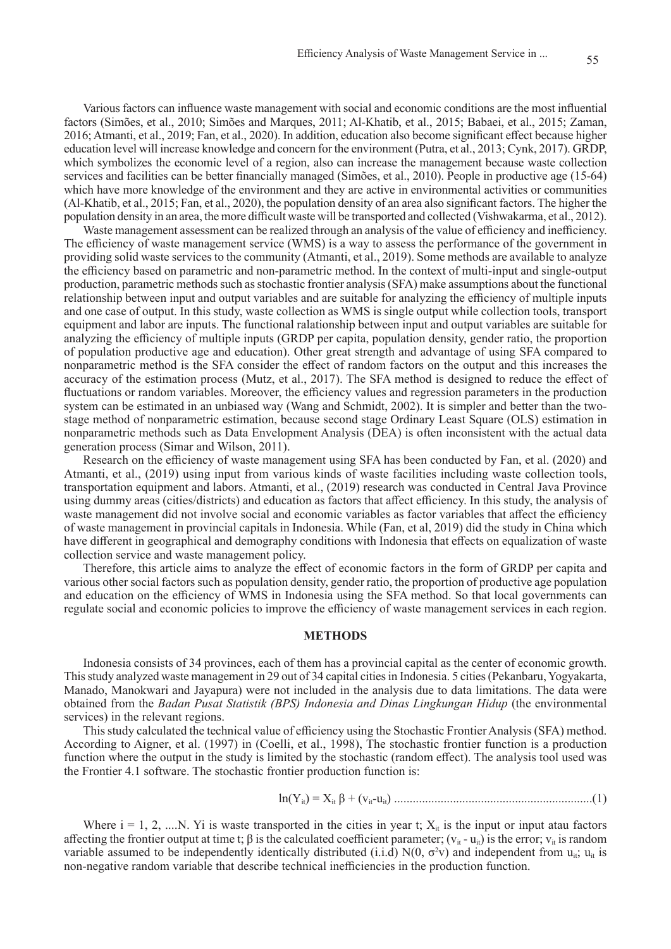Various factors can influence waste management with social and economic conditions are the most influential factors (Simões, et al., 2010; Simões and Marques, 2011; Al-Khatib, et al., 2015; Babaei, et al., 2015; Zaman, 2016; Atmanti, et al., 2019; Fan, et al., 2020). In addition, education also become significant effect because higher education level will increase knowledge and concern for the environment (Putra, et al., 2013; Cynk, 2017). GRDP, which symbolizes the economic level of a region, also can increase the management because waste collection services and facilities can be better financially managed (Simões, et al., 2010). People in productive age (15-64) which have more knowledge of the environment and they are active in environmental activities or communities (Al-Khatib, et al., 2015; Fan, et al., 2020), the population density of an area also significant factors. The higher the population density in an area, the more difficult waste will be transported and collected (Vishwakarma, et al., 2012).

Waste management assessment can be realized through an analysis of the value of efficiency and inefficiency. The efficiency of waste management service (WMS) is a way to assess the performance of the government in providing solid waste services to the community (Atmanti, et al., 2019). Some methods are available to analyze the efficiency based on parametric and non-parametric method. In the context of multi-input and single-output production, parametric methods such as stochastic frontier analysis (SFA) make assumptions about the functional relationship between input and output variables and are suitable for analyzing the efficiency of multiple inputs and one case of output. In this study, waste collection as WMS is single output while collection tools, transport equipment and labor are inputs. The functional ralationship between input and output variables are suitable for analyzing the efficiency of multiple inputs (GRDP per capita, population density, gender ratio, the proportion of population productive age and education). Other great strength and advantage of using SFA compared to nonparametric method is the SFA consider the effect of random factors on the output and this increases the accuracy of the estimation process (Mutz, et al., 2017). The SFA method is designed to reduce the effect of fluctuations or random variables. Moreover, the efficiency values and regression parameters in the production system can be estimated in an unbiased way (Wang and Schmidt, 2002). It is simpler and better than the twostage method of nonparametric estimation, because second stage Ordinary Least Square (OLS) estimation in nonparametric methods such as Data Envelopment Analysis (DEA) is often inconsistent with the actual data generation process (Simar and Wilson, 2011).

Research on the efficiency of waste management using SFA has been conducted by Fan, et al. (2020) and Atmanti, et al., (2019) using input from various kinds of waste facilities including waste collection tools, transportation equipment and labors. Atmanti, et al., (2019) research was conducted in Central Java Province using dummy areas (cities/districts) and education as factors that affect efficiency. In this study, the analysis of waste management did not involve social and economic variables as factor variables that affect the efficiency of waste management in provincial capitals in Indonesia. While (Fan, et al, 2019) did the study in China which have different in geographical and demography conditions with Indonesia that effects on equalization of waste collection service and waste management policy.

Therefore, this article aims to analyze the effect of economic factors in the form of GRDP per capita and various other social factors such as population density, gender ratio, the proportion of productive age population and education on the efficiency of WMS in Indonesia using the SFA method. So that local governments can regulate social and economic policies to improve the efficiency of waste management services in each region.

# **METHODS**

Indonesia consists of 34 provinces, each of them has a provincial capital as the center of economic growth. This study analyzed waste management in 29 out of 34 capital cities in Indonesia. 5 cities (Pekanbaru, Yogyakarta, Manado, Manokwari and Jayapura) were not included in the analysis due to data limitations. The data were obtained from the *Badan Pusat Statistik (BPS) Indonesia and Dinas Lingkungan Hidup* (the environmental services) in the relevant regions.

This study calculated the technical value of efficiency using the Stochastic Frontier Analysis (SFA) method. According to Aigner, et al. (1997) in (Coelli, et al., 1998), The stochastic frontier function is a production function where the output in the study is limited by the stochastic (random effect). The analysis tool used was the Frontier 4.1 software. The stochastic frontier production function is:

ln(Yit) = Xit β + (vit-uit) ................................................................(1)

Where  $i = 1, 2, \dots N$ . Yi is waste transported in the cities in year t;  $X_{it}$  is the input or input atau factors affecting the frontier output at time t;  $\beta$  is the calculated coefficient parameter;  $(v_{it} - u_{it})$  is the error;  $v_{it}$  is random variable assumed to be independently identically distributed (i.i.d)  $N(0, \sigma^2 v)$  and independent from  $u_{it}$ ;  $u_{it}$  is non-negative random variable that describe technical inefficiencies in the production function.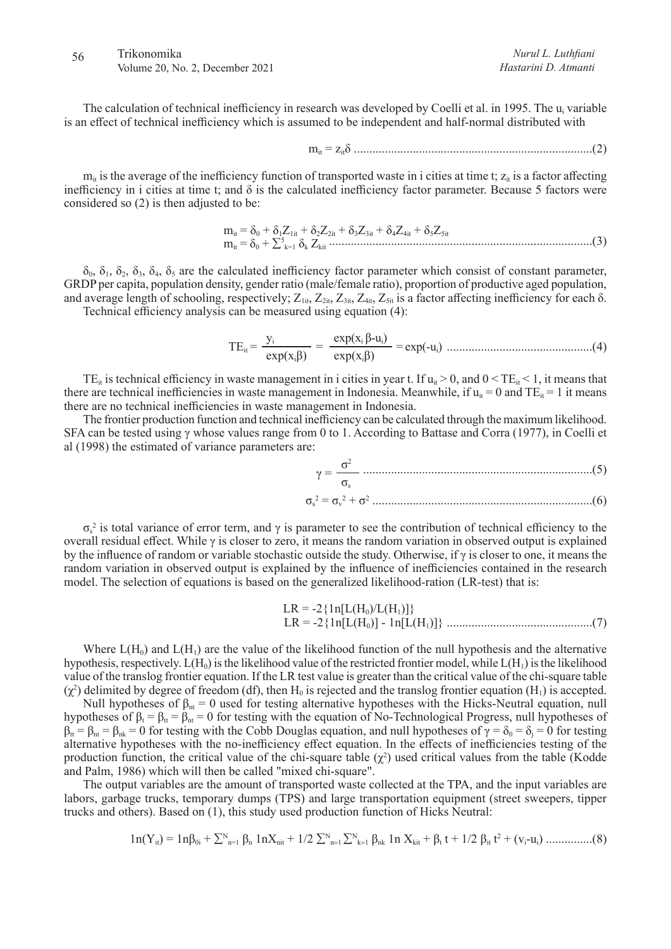# 56 Trikonomika Volume 20, No. 2, December 2021

The calculation of technical inefficiency in research was developed by Coelli et al. in 1995. The u<sub>i</sub> variable is an effect of technical inefficiency which is assumed to be independent and half-normal distributed with

mit = zitδ .............................................................................(2)

 $m_{it}$  is the average of the inefficiency function of transported waste in i cities at time t;  $z_{it}$  is a factor affecting inefficiency in i cities at time t; and  $\delta$  is the calculated inefficiency factor parameter. Because 5 factors were considered so (2) is then adjusted to be:

mit = δ0 + δ1Z1it + δ2Z2it + δ3Z3it + δ4Z4it + δ5Z5it mit = δ0 + ∑<sup>5</sup> k=1 δk Zkit .....................................................................................(3)

 $\delta_0$ ,  $\delta_1$ ,  $\delta_2$ ,  $\delta_3$ ,  $\delta_4$ ,  $\delta_5$  are the calculated inefficiency factor parameter which consist of constant parameter, GRDP per capita, population density, gender ratio (male/female ratio), proportion of productive aged population, and average length of schooling, respectively;  $Z_{1it}$ ,  $Z_{2it}$ ,  $Z_{3it}$ ,  $Z_{4it}$ ,  $Z_{5it}$  is a factor affecting inefficiency for each  $\delta$ . Technical efficiency analysis can be measured using equation (4):

TEit = yi <sup>=</sup> exp(xi β-ui) = exp(-ui) exp(xiβ) exp(xiβ) ...............................................(4)

TE<sub>it</sub> is technical efficiency in waste management in i cities in year t. If  $u_{ii} > 0$ , and  $0 < TE_{ii} < 1$ , it means that there are technical inefficiencies in waste management in Indonesia. Meanwhile, if  $u_{it} = 0$  and  $TE_{it} = 1$  it means there are no technical inefficiencies in waste management in Indonesia.

The frontier production function and technical inefficiency can be calculated through the maximum likelihood. SFA can be tested using γ whose values range from 0 to 1. According to Battase and Corra (1977), in Coelli et al (1998) the estimated of variance parameters are:

σs 2 = σ<sup>v</sup> 2 + σ<sup>2</sup> .......................................................................(6) γ = σ2 σs ..........................................................................(5)

 $\sigma_s^2$  is total variance of error term, and  $\gamma$  is parameter to see the contribution of technical efficiency to the overall residual effect. While γ is closer to zero, it means the random variation in observed output is explained by the influence of random or variable stochastic outside the study. Otherwise, if γ is closer to one, it means the random variation in observed output is explained by the influence of inefficiencies contained in the research model. The selection of equations is based on the generalized likelihood-ration (LR-test) that is:

$$
LR = -2 {ln[L(H_0)/L(H_1)]}
$$
  
LR = -2 {ln[L(H\_0)] - ln[L(H\_1)]} ....... (7)

Where  $L(H_0)$  and  $L(H_1)$  are the value of the likelihood function of the null hypothesis and the alternative hypothesis, respectively.  $L(H_0)$  is the likelihood value of the restricted frontier model, while  $L(H_1)$  is the likelihood value of the translog frontier equation. If the LR test value is greater than the critical value of the chi-square table  $(\chi^2)$  delimited by degree of freedom (df), then H<sub>0</sub> is rejected and the translog frontier equation (H<sub>1</sub>) is accepted.

Null hypotheses of  $\beta_{nt} = 0$  used for testing alternative hypotheses with the Hicks-Neutral equation, null hypotheses of  $\beta_t = \beta_{tt} = 0$  for testing with the equation of No-Technological Progress, null hypotheses of  $\beta_{tt} = \beta_{nt} = \beta_{nk} = 0$  for testing with the Cobb Douglas equation, and null hypotheses of  $\gamma = \delta_0 = \delta_j = 0$  for testing alternative hypotheses with the no-inefficiency effect equation. In the effects of inefficiencies testing of the production function, the critical value of the chi-square table  $(\chi^2)$  used critical values from the table (Kodde and Palm, 1986) which will then be called "mixed chi-square".

The output variables are the amount of transported waste collected at the TPA, and the input variables are labors, garbage trucks, temporary dumps (TPS) and large transportation equipment (street sweepers, tipper trucks and others). Based on (1), this study used production function of Hicks Neutral:

$$
1n(Y_{it}) = 1n\beta_{0i} + \sum_{n=1}^{N} \beta_n 1nX_{nit} + 1/2 \sum_{n=1}^{N} \sum_{k=1}^{N} \beta_{nk} 1n X_{kit} + \beta_t t + 1/2 \beta_{it} t^2 + (v_i - u_i) \dots \dots \dots (8)
$$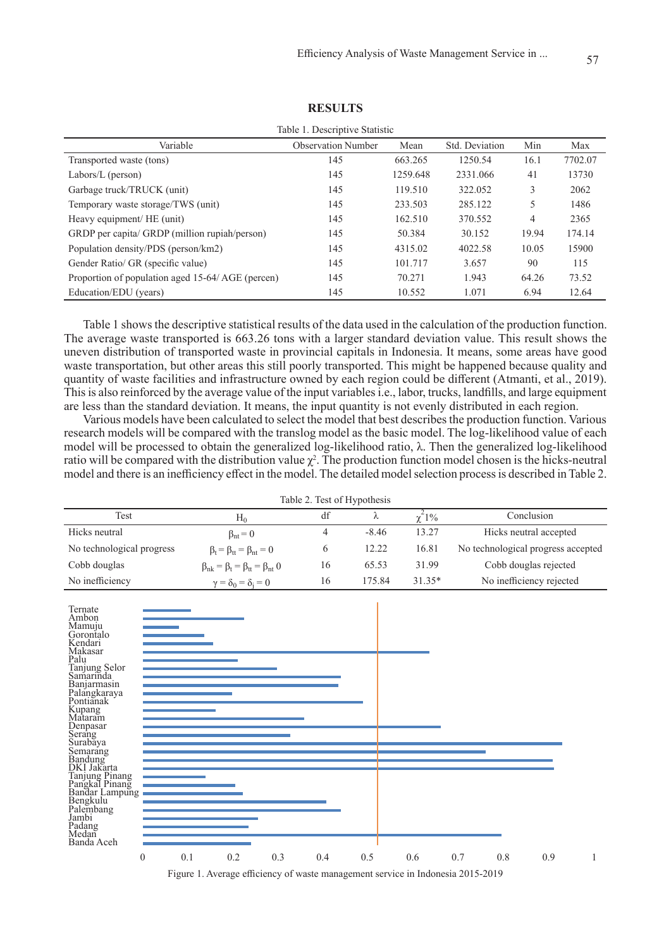| Table 1. Descriptive Statistic                   |                           |          |                |       |         |  |  |  |
|--------------------------------------------------|---------------------------|----------|----------------|-------|---------|--|--|--|
| Variable                                         | <b>Observation Number</b> | Mean     | Std. Deviation | Min   | Max     |  |  |  |
| Transported waste (tons)                         | 145                       | 663.265  | 1250.54        | 16.1  | 7702.07 |  |  |  |
| Labors/L (person)                                | 145                       | 1259.648 | 2331.066       | 41    | 13730   |  |  |  |
| Garbage truck/TRUCK (unit)                       | 145                       | 119.510  | 322.052        | 3     | 2062    |  |  |  |
| Temporary waste storage/TWS (unit)               | 145                       | 233.503  | 285.122        | 5     | 1486    |  |  |  |
| Heavy equipment/ HE (unit)                       | 145                       | 162.510  | 370.552        | 4     | 2365    |  |  |  |
| GRDP per capita/ GRDP (million rupiah/person)    | 145                       | 50.384   | 30.152         | 19.94 | 174.14  |  |  |  |
| Population density/PDS (person/km2)              | 145                       | 4315.02  | 4022.58        | 10.05 | 15900   |  |  |  |
| Gender Ratio/ GR (specific value)                | 145                       | 101.717  | 3.657          | 90    | 115     |  |  |  |
| Proportion of population aged 15-64/AGE (percen) | 145                       | 70.271   | 1.943          | 64.26 | 73.52   |  |  |  |
| Education/EDU (years)                            | 145                       | 10.552   | 1.071          | 6.94  | 12.64   |  |  |  |

**RESULTS**

Table 1 shows the descriptive statistical results of the data used in the calculation of the production function. The average waste transported is 663.26 tons with a larger standard deviation value. This result shows the uneven distribution of transported waste in provincial capitals in Indonesia. It means, some areas have good waste transportation, but other areas this still poorly transported. This might be happened because quality and quantity of waste facilities and infrastructure owned by each region could be different (Atmanti, et al., 2019). This is also reinforced by the average value of the input variables i.e., labor, trucks, landfills, and large equipment are less than the standard deviation. It means, the input quantity is not evenly distributed in each region.

Various models have been calculated to select the model that best describes the production function. Various research models will be compared with the translog model as the basic model. The log-likelihood value of each model will be processed to obtain the generalized log-likelihood ratio, λ. Then the generalized log-likelihood ratio will be compared with the distribution value  $\chi^2$ . The production function model chosen is the hicks-neutral model and there is an inefficiency effect in the model. The detailed model selection process is described in Table 2.

| Table 2. Test of Hypothesis |                                                    |    |         |                |                                    |  |  |  |  |
|-----------------------------|----------------------------------------------------|----|---------|----------------|------------------------------------|--|--|--|--|
| Test                        | $H_0$                                              | df |         | $\gamma^2 1\%$ | Conclusion                         |  |  |  |  |
| Hicks neutral               | $\beta_{nt} = 0$                                   | 4  | $-8.46$ | 13.27          | Hicks neutral accepted             |  |  |  |  |
| No technological progress   | $\beta_t = \beta_{tt} = \beta_{nt} = 0$            | 6  | 12.22   | 16.81          | No technological progress accepted |  |  |  |  |
| Cobb douglas                | $\beta_{nk} = \beta_t = \beta_{tt} = \beta_{nt}$ 0 | 16 | 65.53   | 31.99          | Cobb douglas rejected              |  |  |  |  |
| No inefficiency             | $\gamma = \delta_0 = \delta_i = 0$                 | 16 | 175.84  | $31.35*$       | No inefficiency rejected           |  |  |  |  |



Figure 1. Average efficiency of waste management service in Indonesia 2015-2019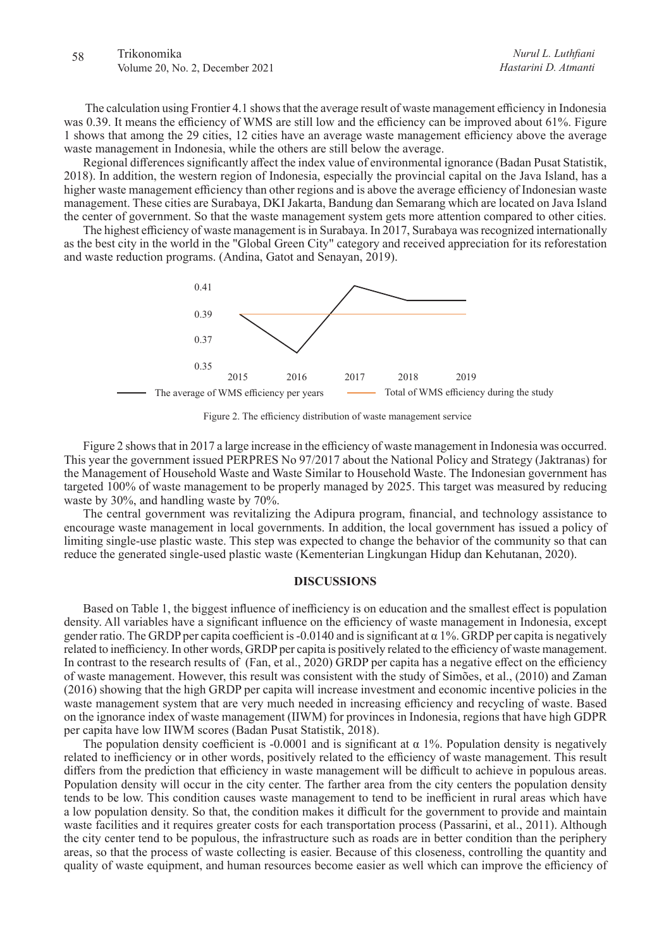# 58 Trikonomika Volume 20, No. 2, December 2021

 The calculation using Frontier 4.1 shows that the average result of waste management efficiency in Indonesia was 0.39. It means the efficiency of WMS are still low and the efficiency can be improved about 61%. Figure 1 shows that among the 29 cities, 12 cities have an average waste management efficiency above the average waste management in Indonesia, while the others are still below the average.

Regional differences significantly affect the index value of environmental ignorance (Badan Pusat Statistik, 2018). In addition, the western region of Indonesia, especially the provincial capital on the Java Island, has a higher waste management efficiency than other regions and is above the average efficiency of Indonesian waste management. These cities are Surabaya, DKI Jakarta, Bandung dan Semarang which are located on Java Island the center of government. So that the waste management system gets more attention compared to other cities.

The highest efficiency of waste management is in Surabaya. In 2017, Surabaya was recognized internationally as the best city in the world in the "Global Green City" category and received appreciation for its reforestation and waste reduction programs. (Andina, Gatot and Senayan, 2019).



Figure 2. The efficiency distribution of waste management service

Figure 2 shows that in 2017 a large increase in the efficiency of waste management in Indonesia was occurred. This year the government issued PERPRES No 97/2017 about the National Policy and Strategy (Jaktranas) for the Management of Household Waste and Waste Similar to Household Waste. The Indonesian government has targeted 100% of waste management to be properly managed by 2025. This target was measured by reducing waste by 30%, and handling waste by 70%.

The central government was revitalizing the Adipura program, financial, and technology assistance to encourage waste management in local governments. In addition, the local government has issued a policy of limiting single-use plastic waste. This step was expected to change the behavior of the community so that can reduce the generated single-used plastic waste (Kementerian Lingkungan Hidup dan Kehutanan, 2020).

#### **DISCUSSIONS**

Based on Table 1, the biggest influence of inefficiency is on education and the smallest effect is population density. All variables have a significant influence on the efficiency of waste management in Indonesia, except gender ratio. The GRDP per capita coefficient is -0.0140 and is significant at  $\alpha$  1%. GRDP per capita is negatively related to inefficiency. In other words, GRDP per capita is positively related to the efficiency of waste management. In contrast to the research results of (Fan, et al., 2020) GRDP per capita has a negative effect on the efficiency of waste management. However, this result was consistent with the study of Simões, et al., (2010) and Zaman (2016) showing that the high GRDP per capita will increase investment and economic incentive policies in the waste management system that are very much needed in increasing efficiency and recycling of waste. Based on the ignorance index of waste management (IIWM) for provinces in Indonesia, regions that have high GDPR per capita have low IIWM scores (Badan Pusat Statistik, 2018).

The population density coefficient is -0.0001 and is significant at  $\alpha$  1%. Population density is negatively related to inefficiency or in other words, positively related to the efficiency of waste management. This result differs from the prediction that efficiency in waste management will be difficult to achieve in populous areas. Population density will occur in the city center. The farther area from the city centers the population density tends to be low. This condition causes waste management to tend to be inefficient in rural areas which have a low population density. So that, the condition makes it difficult for the government to provide and maintain waste facilities and it requires greater costs for each transportation process (Passarini, et al., 2011). Although the city center tend to be populous, the infrastructure such as roads are in better condition than the periphery areas, so that the process of waste collecting is easier. Because of this closeness, controlling the quantity and quality of waste equipment, and human resources become easier as well which can improve the efficiency of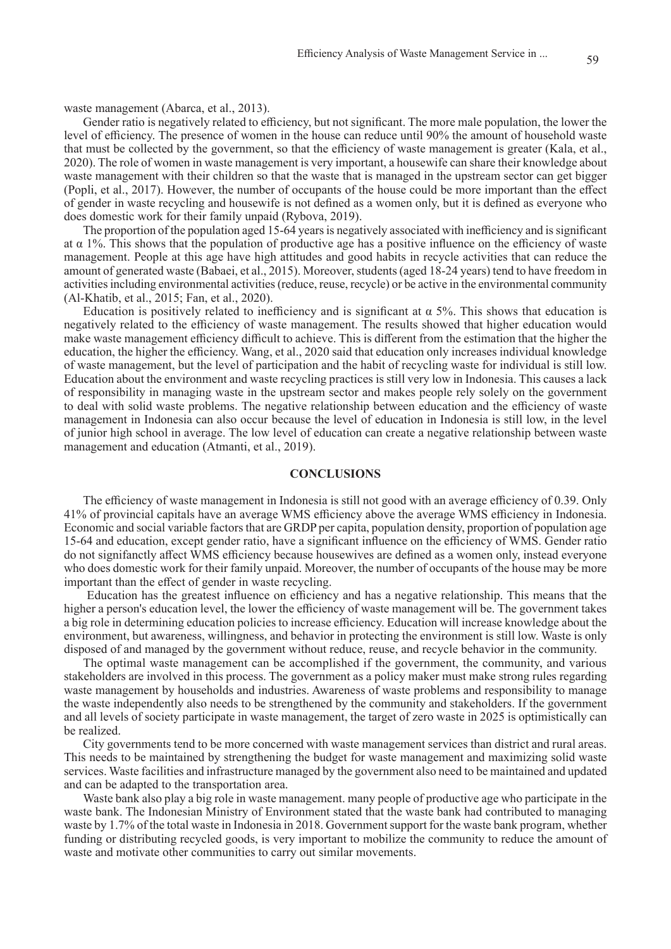Gender ratio is negatively related to efficiency, but not significant. The more male population, the lower the level of efficiency. The presence of women in the house can reduce until 90% the amount of household waste that must be collected by the government, so that the efficiency of waste management is greater (Kala, et al., 2020). The role of women in waste management is very important, a housewife can share their knowledge about waste management with their children so that the waste that is managed in the upstream sector can get bigger (Popli, et al., 2017). However, the number of occupants of the house could be more important than the effect of gender in waste recycling and housewife is not defined as a women only, but it is defined as everyone who does domestic work for their family unpaid (Rybova, 2019).

The proportion of the population aged 15-64 years is negatively associated with inefficiency and is significant at  $\alpha$  1%. This shows that the population of productive age has a positive influence on the efficiency of waste management. People at this age have high attitudes and good habits in recycle activities that can reduce the amount of generated waste (Babaei, et al., 2015). Moreover, students (aged 18-24 years) tend to have freedom in activities including environmental activities (reduce, reuse, recycle) or be active in the environmental community (Al-Khatib, et al., 2015; Fan, et al., 2020).

Education is positively related to inefficiency and is significant at  $\alpha$  5%. This shows that education is negatively related to the efficiency of waste management. The results showed that higher education would make waste management efficiency difficult to achieve. This is different from the estimation that the higher the education, the higher the efficiency. Wang, et al., 2020 said that education only increases individual knowledge of waste management, but the level of participation and the habit of recycling waste for individual is still low. Education about the environment and waste recycling practices is still very low in Indonesia. This causes a lack of responsibility in managing waste in the upstream sector and makes people rely solely on the government to deal with solid waste problems. The negative relationship between education and the efficiency of waste management in Indonesia can also occur because the level of education in Indonesia is still low, in the level of junior high school in average. The low level of education can create a negative relationship between waste management and education (Atmanti, et al., 2019).

#### **CONCLUSIONS**

The efficiency of waste management in Indonesia is still not good with an average efficiency of 0.39. Only 41% of provincial capitals have an average WMS efficiency above the average WMS efficiency in Indonesia. Economic and social variable factors that are GRDP per capita, population density, proportion of population age 15-64 and education, except gender ratio, have a significant influence on the efficiency of WMS. Gender ratio do not signifanctly affect WMS efficiency because housewives are defined as a women only, instead everyone who does domestic work for their family unpaid. Moreover, the number of occupants of the house may be more important than the effect of gender in waste recycling.

 Education has the greatest influence on efficiency and has a negative relationship. This means that the higher a person's education level, the lower the efficiency of waste management will be. The government takes a big role in determining education policies to increase efficiency. Education will increase knowledge about the environment, but awareness, willingness, and behavior in protecting the environment is still low. Waste is only disposed of and managed by the government without reduce, reuse, and recycle behavior in the community.

The optimal waste management can be accomplished if the government, the community, and various stakeholders are involved in this process. The government as a policy maker must make strong rules regarding waste management by households and industries. Awareness of waste problems and responsibility to manage the waste independently also needs to be strengthened by the community and stakeholders. If the government and all levels of society participate in waste management, the target of zero waste in 2025 is optimistically can be realized.

City governments tend to be more concerned with waste management services than district and rural areas. This needs to be maintained by strengthening the budget for waste management and maximizing solid waste services. Waste facilities and infrastructure managed by the government also need to be maintained and updated and can be adapted to the transportation area.

Waste bank also play a big role in waste management. many people of productive age who participate in the waste bank. The Indonesian Ministry of Environment stated that the waste bank had contributed to managing waste by 1.7% of the total waste in Indonesia in 2018. Government support for the waste bank program, whether funding or distributing recycled goods, is very important to mobilize the community to reduce the amount of waste and motivate other communities to carry out similar movements.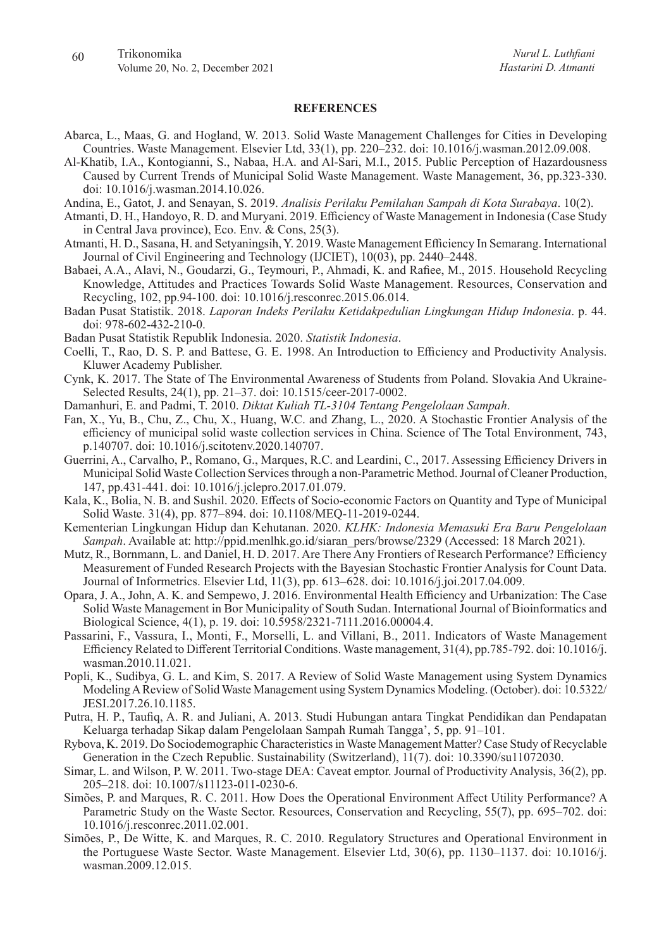#### **REFERENCES**

- Abarca, L., Maas, G. and Hogland, W. 2013. Solid Waste Management Challenges for Cities in Developing Countries. Waste Management. Elsevier Ltd, 33(1), pp. 220–232. doi: 10.1016/j.wasman.2012.09.008.
- Al-Khatib, I.A., Kontogianni, S., Nabaa, H.A. and Al-Sari, M.I., 2015. Public Perception of Hazardousness Caused by Current Trends of Municipal Solid Waste Management. Waste Management, 36, pp.323-330. doi: 10.1016/j.wasman.2014.10.026.
- Andina, E., Gatot, J. and Senayan, S. 2019. *Analisis Perilaku Pemilahan Sampah di Kota Surabaya*. 10(2).
- Atmanti, D. H., Handoyo, R. D. and Muryani. 2019. Efficiency of Waste Management in Indonesia (Case Study in Central Java province), Eco. Env. & Cons, 25(3).
- Atmanti, H. D., Sasana, H. and Setyaningsih, Y. 2019. Waste Management Efficiency In Semarang. International Journal of Civil Engineering and Technology (IJCIET), 10(03), pp. 2440–2448.
- Babaei, A.A., Alavi, N., Goudarzi, G., Teymouri, P., Ahmadi, K. and Rafiee, M., 2015. Household Recycling Knowledge, Attitudes and Practices Towards Solid Waste Management. Resources, Conservation and Recycling, 102, pp.94-100. doi: 10.1016/j.resconrec.2015.06.014.
- Badan Pusat Statistik. 2018. *Laporan Indeks Perilaku Ketidakpedulian Lingkungan Hidup Indonesia*. p. 44. doi: 978-602-432-210-0.
- Badan Pusat Statistik Republik Indonesia. 2020. *Statistik Indonesia*.
- Coelli, T., Rao, D. S. P. and Battese, G. E. 1998. An Introduction to Efficiency and Productivity Analysis. Kluwer Academy Publisher.
- Cynk, K. 2017. The State of The Environmental Awareness of Students from Poland. Slovakia And Ukraine-Selected Results, 24(1), pp. 21–37. doi: 10.1515/ceer-2017-0002.
- Damanhuri, E. and Padmi, T. 2010. *Diktat Kuliah TL-3104 Tentang Pengelolaan Sampah*.
- Fan, X., Yu, B., Chu, Z., Chu, X., Huang, W.C. and Zhang, L., 2020. A Stochastic Frontier Analysis of the efficiency of municipal solid waste collection services in China. Science of The Total Environment, 743, p.140707. doi: 10.1016/j.scitotenv.2020.140707.
- Guerrini, A., Carvalho, P., Romano, G., Marques, R.C. and Leardini, C., 2017. Assessing Efficiency Drivers in Municipal Solid Waste Collection Services through a non-Parametric Method. Journal of Cleaner Production, 147, pp.431-441. doi: 10.1016/j.jclepro.2017.01.079.
- Kala, K., Bolia, N. B. and Sushil. 2020. Effects of Socio-economic Factors on Quantity and Type of Municipal Solid Waste. 31(4), pp. 877–894. doi: 10.1108/MEQ-11-2019-0244.
- Kementerian Lingkungan Hidup dan Kehutanan. 2020. *KLHK: Indonesia Memasuki Era Baru Pengelolaan Sampah*. Available at: http://ppid.menlhk.go.id/siaran\_pers/browse/2329 (Accessed: 18 March 2021).
- Mutz, R., Bornmann, L. and Daniel, H. D. 2017. Are There Any Frontiers of Research Performance? Efficiency Measurement of Funded Research Projects with the Bayesian Stochastic Frontier Analysis for Count Data. Journal of Informetrics. Elsevier Ltd, 11(3), pp. 613–628. doi: 10.1016/j.joi.2017.04.009.
- Opara, J. A., John, A. K. and Sempewo, J. 2016. Environmental Health Efficiency and Urbanization: The Case Solid Waste Management in Bor Municipality of South Sudan. International Journal of Bioinformatics and Biological Science, 4(1), p. 19. doi: 10.5958/2321-7111.2016.00004.4.
- Passarini, F., Vassura, I., Monti, F., Morselli, L. and Villani, B., 2011. Indicators of Waste Management Efficiency Related to Different Territorial Conditions. Waste management, 31(4), pp.785-792. doi: 10.1016/j. wasman.2010.11.021.
- Popli, K., Sudibya, G. L. and Kim, S. 2017. A Review of Solid Waste Management using System Dynamics Modeling A Review of Solid Waste Management using System Dynamics Modeling. (October). doi: 10.5322/ JESI.2017.26.10.1185.
- Putra, H. P., Taufiq, A. R. and Juliani, A. 2013. Studi Hubungan antara Tingkat Pendidikan dan Pendapatan Keluarga terhadap Sikap dalam Pengelolaan Sampah Rumah Tangga', 5, pp. 91–101.
- Rybova, K. 2019. Do Sociodemographic Characteristics in Waste Management Matter? Case Study of Recyclable Generation in the Czech Republic. Sustainability (Switzerland), 11(7). doi: 10.3390/su11072030.
- Simar, L. and Wilson, P. W. 2011. Two-stage DEA: Caveat emptor. Journal of Productivity Analysis, 36(2), pp. 205–218. doi: 10.1007/s11123-011-0230-6.
- Simões, P. and Marques, R. C. 2011. How Does the Operational Environment Affect Utility Performance? A Parametric Study on the Waste Sector. Resources, Conservation and Recycling, 55(7), pp. 695–702. doi: 10.1016/j.resconrec.2011.02.001.
- Simões, P., De Witte, K. and Marques, R. C. 2010. Regulatory Structures and Operational Environment in the Portuguese Waste Sector. Waste Management. Elsevier Ltd, 30(6), pp. 1130–1137. doi: 10.1016/j. wasman.2009.12.015.